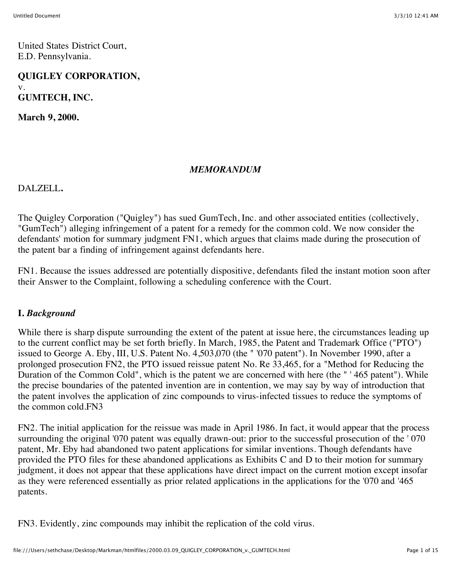United States District Court, E.D. Pennsylvania.

**QUIGLEY CORPORATION,** v. **GUMTECH, INC.**

**March 9, 2000.**

#### *MEMORANDUM*

DALZELL**.**

The Quigley Corporation ("Quigley") has sued GumTech, Inc. and other associated entities (collectively, "GumTech") alleging infringement of a patent for a remedy for the common cold. We now consider the defendants' motion for summary judgment FN1, which argues that claims made during the prosecution of the patent bar a finding of infringement against defendants here.

FN1. Because the issues addressed are potentially dispositive, defendants filed the instant motion soon after their Answer to the Complaint, following a scheduling conference with the Court.

#### **I.** *Background*

While there is sharp dispute surrounding the extent of the patent at issue here, the circumstances leading up to the current conflict may be set forth briefly. In March, 1985, the Patent and Trademark Office ("PTO") issued to George A. Eby, III, U.S. Patent No. 4,503,070 (the " '070 patent"). In November 1990, after a prolonged prosecution FN2, the PTO issued reissue patent No. Re 33,465, for a "Method for Reducing the Duration of the Common Cold", which is the patent we are concerned with here (the " ' 465 patent"). While the precise boundaries of the patented invention are in contention, we may say by way of introduction that the patent involves the application of zinc compounds to virus-infected tissues to reduce the symptoms of the common cold.FN3

FN2. The initial application for the reissue was made in April 1986. In fact, it would appear that the process surrounding the original '070 patent was equally drawn-out: prior to the successful prosecution of the ' 070 patent, Mr. Eby had abandoned two patent applications for similar inventions. Though defendants have provided the PTO files for these abandoned applications as Exhibits C and D to their motion for summary judgment, it does not appear that these applications have direct impact on the current motion except insofar as they were referenced essentially as prior related applications in the applications for the '070 and '465 patents.

FN3. Evidently, zinc compounds may inhibit the replication of the cold virus.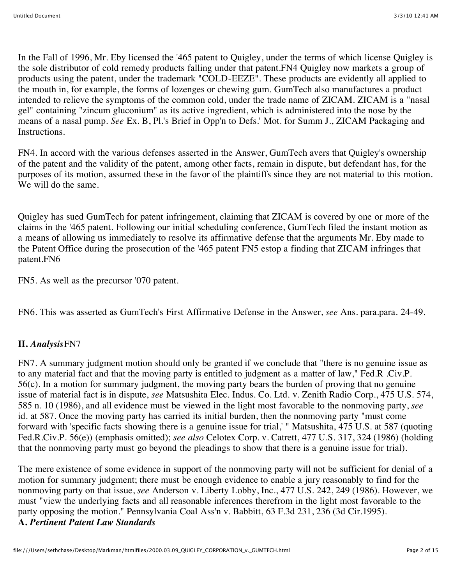In the Fall of 1996, Mr. Eby licensed the '465 patent to Quigley, under the terms of which license Quigley is the sole distributor of cold remedy products falling under that patent.FN4 Quigley now markets a group of products using the patent, under the trademark "COLD-EEZE". These products are evidently all applied to the mouth in, for example, the forms of lozenges or chewing gum. GumTech also manufactures a product intended to relieve the symptoms of the common cold, under the trade name of ZICAM. ZICAM is a "nasal gel" containing "zincum gluconium" as its active ingredient, which is administered into the nose by the means of a nasal pump. *See* Ex. B, Pl.'s Brief in Opp'n to Defs.' Mot. for Summ J., ZICAM Packaging and **Instructions** 

FN4. In accord with the various defenses asserted in the Answer, GumTech avers that Quigley's ownership of the patent and the validity of the patent, among other facts, remain in dispute, but defendant has, for the purposes of its motion, assumed these in the favor of the plaintiffs since they are not material to this motion. We will do the same.

Quigley has sued GumTech for patent infringement, claiming that ZICAM is covered by one or more of the claims in the '465 patent. Following our initial scheduling conference, GumTech filed the instant motion as a means of allowing us immediately to resolve its affirmative defense that the arguments Mr. Eby made to the Patent Office during the prosecution of the '465 patent FN5 estop a finding that ZICAM infringes that patent.FN6

FN5. As well as the precursor '070 patent.

FN6. This was asserted as GumTech's First Affirmative Defense in the Answer, *see* Ans. para.para. 24-49.

## **II.** *Analysis*FN7

FN7. A summary judgment motion should only be granted if we conclude that "there is no genuine issue as to any material fact and that the moving party is entitled to judgment as a matter of law," Fed.R .Civ.P. 56(c). In a motion for summary judgment, the moving party bears the burden of proving that no genuine issue of material fact is in dispute, *see* Matsushita Elec. Indus. Co. Ltd. v. Zenith Radio Corp., 475 U.S. 574, 585 n. 10 (1986), and all evidence must be viewed in the light most favorable to the nonmoving party, *see* id. at 587. Once the moving party has carried its initial burden, then the nonmoving party "must come forward with 'specific facts showing there is a genuine issue for trial,' " Matsushita, 475 U.S. at 587 (quoting Fed.R.Civ.P. 56(e)) (emphasis omitted); *see also* Celotex Corp. v. Catrett, 477 U.S. 317, 324 (1986) (holding that the nonmoving party must go beyond the pleadings to show that there is a genuine issue for trial).

The mere existence of some evidence in support of the nonmoving party will not be sufficient for denial of a motion for summary judgment; there must be enough evidence to enable a jury reasonably to find for the nonmoving party on that issue, *see* Anderson v. Liberty Lobby, Inc., 477 U.S. 242, 249 (1986). However, we must "view the underlying facts and all reasonable inferences therefrom in the light most favorable to the party opposing the motion." Pennsylvania Coal Ass'n v. Babbitt, 63 F.3d 231, 236 (3d Cir.1995). **A.** *Pertinent Patent Law Standards*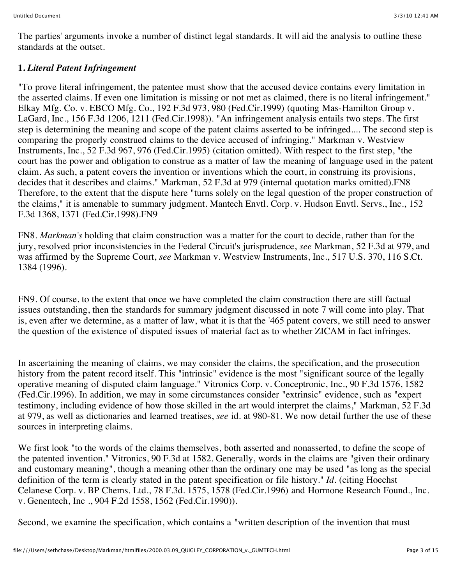The parties' arguments invoke a number of distinct legal standards. It will aid the analysis to outline these standards at the outset.

# **1.** *Literal Patent Infringement*

"To prove literal infringement, the patentee must show that the accused device contains every limitation in the asserted claims. If even one limitation is missing or not met as claimed, there is no literal infringement." Elkay Mfg. Co. v. EBCO Mfg. Co., 192 F.3d 973, 980 (Fed.Cir.1999) (quoting Mas-Hamilton Group v. LaGard, Inc., 156 F.3d 1206, 1211 (Fed.Cir.1998)). "An infringement analysis entails two steps. The first step is determining the meaning and scope of the patent claims asserted to be infringed.... The second step is comparing the properly construed claims to the device accused of infringing." Markman v. Westview Instruments, Inc., 52 F.3d 967, 976 (Fed.Cir.1995) (citation omitted). With respect to the first step, "the court has the power and obligation to construe as a matter of law the meaning of language used in the patent claim. As such, a patent covers the invention or inventions which the court, in construing its provisions, decides that it describes and claims." Markman, 52 F.3d at 979 (internal quotation marks omitted).FN8 Therefore, to the extent that the dispute here "turns solely on the legal question of the proper construction of the claims," it is amenable to summary judgment. Mantech Envtl. Corp. v. Hudson Envtl. Servs., Inc., 152 F.3d 1368, 1371 (Fed.Cir.1998).FN9

FN8. *Markman's* holding that claim construction was a matter for the court to decide, rather than for the jury, resolved prior inconsistencies in the Federal Circuit's jurisprudence, *see* Markman, 52 F.3d at 979, and was affirmed by the Supreme Court, *see* Markman v. Westview Instruments, Inc., 517 U.S. 370, 116 S.Ct. 1384 (1996).

FN9. Of course, to the extent that once we have completed the claim construction there are still factual issues outstanding, then the standards for summary judgment discussed in note 7 will come into play. That is, even after we determine, as a matter of law, what it is that the '465 patent covers, we still need to answer the question of the existence of disputed issues of material fact as to whether ZICAM in fact infringes.

In ascertaining the meaning of claims, we may consider the claims, the specification, and the prosecution history from the patent record itself. This "intrinsic" evidence is the most "significant source of the legally operative meaning of disputed claim language." Vitronics Corp. v. Conceptronic, Inc., 90 F.3d 1576, 1582 (Fed.Cir.1996). In addition, we may in some circumstances consider "extrinsic" evidence, such as "expert testimony, including evidence of how those skilled in the art would interpret the claims," Markman, 52 F.3d at 979, as well as dictionaries and learned treatises, *see* id. at 980-81. We now detail further the use of these sources in interpreting claims.

We first look "to the words of the claims themselves, both asserted and nonasserted, to define the scope of the patented invention." Vitronics, 90 F.3d at 1582. Generally, words in the claims are "given their ordinary and customary meaning", though a meaning other than the ordinary one may be used "as long as the special definition of the term is clearly stated in the patent specification or file history." *Id.* (citing Hoechst Celanese Corp. v. BP Chems. Ltd., 78 F.3d. 1575, 1578 (Fed.Cir.1996) and Hormone Research Found., Inc. v. Genentech, Inc ., 904 F.2d 1558, 1562 (Fed.Cir.1990)).

Second, we examine the specification, which contains a "written description of the invention that must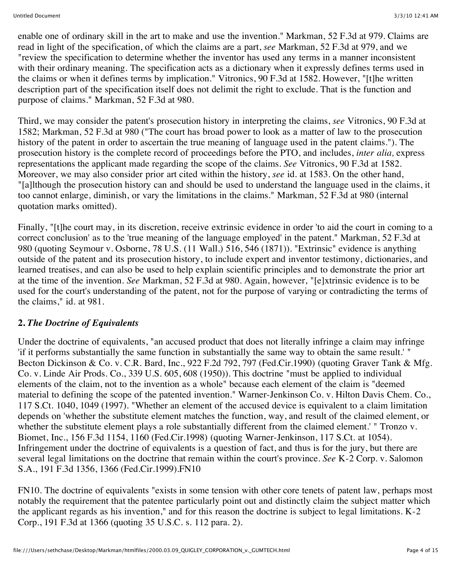enable one of ordinary skill in the art to make and use the invention." Markman, 52 F.3d at 979. Claims are read in light of the specification, of which the claims are a part, *see* Markman, 52 F.3d at 979, and we "review the specification to determine whether the inventor has used any terms in a manner inconsistent with their ordinary meaning. The specification acts as a dictionary when it expressly defines terms used in the claims or when it defines terms by implication." Vitronics, 90 F.3d at 1582. However, "[t]he written description part of the specification itself does not delimit the right to exclude. That is the function and purpose of claims." Markman, 52 F.3d at 980.

Third, we may consider the patent's prosecution history in interpreting the claims, *see* Vitronics, 90 F.3d at 1582; Markman, 52 F.3d at 980 ("The court has broad power to look as a matter of law to the prosecution history of the patent in order to ascertain the true meaning of language used in the patent claims."). The prosecution history is the complete record of proceedings before the PTO, and includes, *inter alia,* express representations the applicant made regarding the scope of the claims. *See* Vitronics, 90 F.3d at 1582. Moreover, we may also consider prior art cited within the history, *see* id. at 1583. On the other hand, "[a]lthough the prosecution history can and should be used to understand the language used in the claims, it too cannot enlarge, diminish, or vary the limitations in the claims." Markman, 52 F.3d at 980 (internal quotation marks omitted).

Finally, "[t]he court may, in its discretion, receive extrinsic evidence in order 'to aid the court in coming to a correct conclusion' as to the 'true meaning of the language employed' in the patent." Markman, 52 F.3d at 980 (quoting Seymour v. Osborne, 78 U.S. (11 Wall.) 516, 546 (1871)). "Extrinsic" evidence is anything outside of the patent and its prosecution history, to include expert and inventor testimony, dictionaries, and learned treatises, and can also be used to help explain scientific principles and to demonstrate the prior art at the time of the invention. *See* Markman, 52 F.3d at 980. Again, however, "[e]xtrinsic evidence is to be used for the court's understanding of the patent, not for the purpose of varying or contradicting the terms of the claims," id. at 981.

## **2.** *The Doctrine of Equivalents*

Under the doctrine of equivalents, "an accused product that does not literally infringe a claim may infringe 'if it performs substantially the same function in substantially the same way to obtain the same result.' " Becton Dickinson & Co. v. C.R. Bard, Inc., 922 F.2d 792, 797 (Fed.Cir.1990) (quoting Graver Tank & Mfg. Co. v. Linde Air Prods. Co., 339 U.S. 605, 608 (1950)). This doctrine "must be applied to individual elements of the claim, not to the invention as a whole" because each element of the claim is "deemed material to defining the scope of the patented invention." Warner-Jenkinson Co. v. Hilton Davis Chem. Co., 117 S.Ct. 1040, 1049 (1997). "Whether an element of the accused device is equivalent to a claim limitation depends on 'whether the substitute element matches the function, way, and result of the claimed element, or whether the substitute element plays a role substantially different from the claimed element.' " Tronzo v. Biomet, Inc., 156 F.3d 1154, 1160 (Fed.Cir.1998) (quoting Warner-Jenkinson, 117 S.Ct. at 1054). Infringement under the doctrine of equivalents is a question of fact, and thus is for the jury, but there are several legal limitations on the doctrine that remain within the court's province. *See* K-2 Corp. v. Salomon S.A., 191 F.3d 1356, 1366 (Fed.Cir.1999).FN10

FN10. The doctrine of equivalents "exists in some tension with other core tenets of patent law, perhaps most notably the requirement that the patentee particularly point out and distinctly claim the subject matter which the applicant regards as his invention," and for this reason the doctrine is subject to legal limitations. K-2 Corp., 191 F.3d at 1366 (quoting 35 U.S.C. s. 112 para. 2).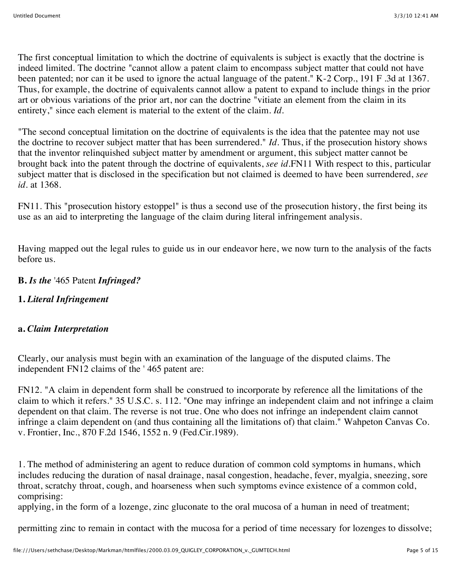The first conceptual limitation to which the doctrine of equivalents is subject is exactly that the doctrine is indeed limited. The doctrine "cannot allow a patent claim to encompass subject matter that could not have been patented; nor can it be used to ignore the actual language of the patent." K-2 Corp., 191 F .3d at 1367. Thus, for example, the doctrine of equivalents cannot allow a patent to expand to include things in the prior art or obvious variations of the prior art, nor can the doctrine "vitiate an element from the claim in its entirety," since each element is material to the extent of the claim. *Id.*

"The second conceptual limitation on the doctrine of equivalents is the idea that the patentee may not use the doctrine to recover subject matter that has been surrendered." *Id.* Thus, if the prosecution history shows that the inventor relinquished subject matter by amendment or argument, this subject matter cannot be brought back into the patent through the doctrine of equivalents, *see id.*FN11 With respect to this, particular subject matter that is disclosed in the specification but not claimed is deemed to have been surrendered, *see id.* at 1368.

FN11. This "prosecution history estoppel" is thus a second use of the prosecution history, the first being its use as an aid to interpreting the language of the claim during literal infringement analysis.

Having mapped out the legal rules to guide us in our endeavor here, we now turn to the analysis of the facts before us.

#### **B.** *Is the* '465 Patent *Infringed?*

#### **1.** *Literal Infringement*

#### **a.** *Claim Interpretation*

Clearly, our analysis must begin with an examination of the language of the disputed claims. The independent FN12 claims of the ' 465 patent are:

FN12. "A claim in dependent form shall be construed to incorporate by reference all the limitations of the claim to which it refers." 35 U.S.C. s. 112. "One may infringe an independent claim and not infringe a claim dependent on that claim. The reverse is not true. One who does not infringe an independent claim cannot infringe a claim dependent on (and thus containing all the limitations of) that claim." Wahpeton Canvas Co. v. Frontier, Inc., 870 F.2d 1546, 1552 n. 9 (Fed.Cir.1989).

1. The method of administering an agent to reduce duration of common cold symptoms in humans, which includes reducing the duration of nasal drainage, nasal congestion, headache, fever, myalgia, sneezing, sore throat, scratchy throat, cough, and hoarseness when such symptoms evince existence of a common cold, comprising:

applying, in the form of a lozenge, zinc gluconate to the oral mucosa of a human in need of treatment;

permitting zinc to remain in contact with the mucosa for a period of time necessary for lozenges to dissolve;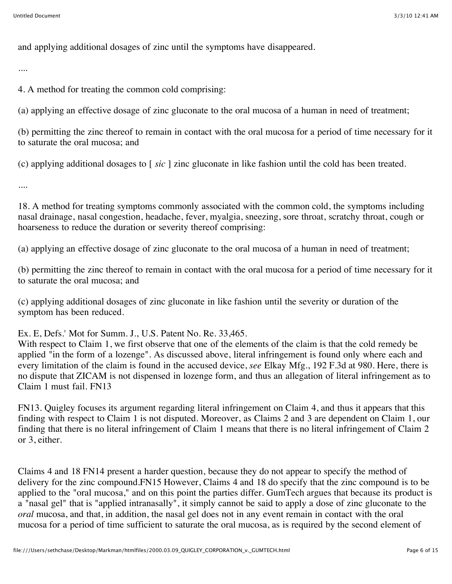and applying additional dosages of zinc until the symptoms have disappeared.

....

4. A method for treating the common cold comprising:

(a) applying an effective dosage of zinc gluconate to the oral mucosa of a human in need of treatment;

(b) permitting the zinc thereof to remain in contact with the oral mucosa for a period of time necessary for it to saturate the oral mucosa; and

(c) applying additional dosages to [ *sic* ] zinc gluconate in like fashion until the cold has been treated.

....

18. A method for treating symptoms commonly associated with the common cold, the symptoms including nasal drainage, nasal congestion, headache, fever, myalgia, sneezing, sore throat, scratchy throat, cough or hoarseness to reduce the duration or severity thereof comprising:

(a) applying an effective dosage of zinc gluconate to the oral mucosa of a human in need of treatment;

(b) permitting the zinc thereof to remain in contact with the oral mucosa for a period of time necessary for it to saturate the oral mucosa; and

(c) applying additional dosages of zinc gluconate in like fashion until the severity or duration of the symptom has been reduced.

Ex. E, Defs.' Mot for Summ. J., U.S. Patent No. Re. 33,465.

With respect to Claim 1, we first observe that one of the elements of the claim is that the cold remedy be applied "in the form of a lozenge". As discussed above, literal infringement is found only where each and every limitation of the claim is found in the accused device, *see* Elkay Mfg., 192 F.3d at 980. Here, there is no dispute that ZICAM is not dispensed in lozenge form, and thus an allegation of literal infringement as to Claim 1 must fail. FN13

FN13. Quigley focuses its argument regarding literal infringement on Claim 4, and thus it appears that this finding with respect to Claim 1 is not disputed. Moreover, as Claims 2 and 3 are dependent on Claim 1, our finding that there is no literal infringement of Claim 1 means that there is no literal infringement of Claim 2 or 3, either.

Claims 4 and 18 FN14 present a harder question, because they do not appear to specify the method of delivery for the zinc compound.FN15 However, Claims 4 and 18 do specify that the zinc compound is to be applied to the "oral mucosa," and on this point the parties differ. GumTech argues that because its product is a "nasal gel" that is "applied intranasally", it simply cannot be said to apply a dose of zinc gluconate to the *oral* mucosa, and that, in addition, the nasal gel does not in any event remain in contact with the oral mucosa for a period of time sufficient to saturate the oral mucosa, as is required by the second element of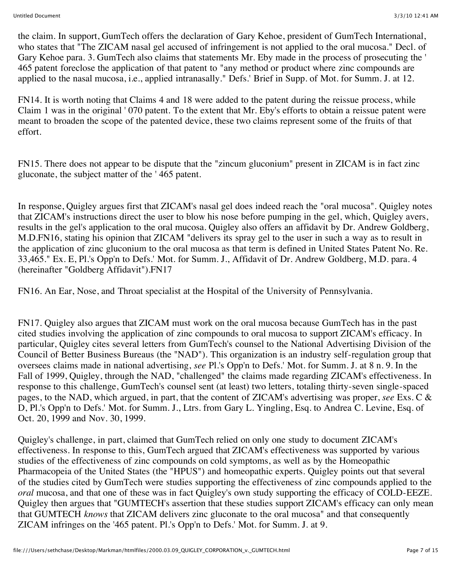the claim. In support, GumTech offers the declaration of Gary Kehoe, president of GumTech International, who states that "The ZICAM nasal gel accused of infringement is not applied to the oral mucosa." Decl. of Gary Kehoe para. 3. GumTech also claims that statements Mr. Eby made in the process of prosecuting the ' 465 patent foreclose the application of that patent to "any method or product where zinc compounds are applied to the nasal mucosa, i.e., applied intranasally." Defs.' Brief in Supp. of Mot. for Summ. J. at 12.

FN14. It is worth noting that Claims 4 and 18 were added to the patent during the reissue process, while Claim 1 was in the original ' 070 patent. To the extent that Mr. Eby's efforts to obtain a reissue patent were meant to broaden the scope of the patented device, these two claims represent some of the fruits of that effort.

FN15. There does not appear to be dispute that the "zincum gluconium" present in ZICAM is in fact zinc gluconate, the subject matter of the ' 465 patent.

In response, Quigley argues first that ZICAM's nasal gel does indeed reach the "oral mucosa". Quigley notes that ZICAM's instructions direct the user to blow his nose before pumping in the gel, which, Quigley avers, results in the gel's application to the oral mucosa. Quigley also offers an affidavit by Dr. Andrew Goldberg, M.D.FN16, stating his opinion that ZICAM "delivers its spray gel to the user in such a way as to result in the application of zinc gluconium to the oral mucosa as that term is defined in United States Patent No. Re. 33,465." Ex. E, Pl.'s Opp'n to Defs.' Mot. for Summ. J., Affidavit of Dr. Andrew Goldberg, M.D. para. 4 (hereinafter "Goldberg Affidavit").FN17

FN16. An Ear, Nose, and Throat specialist at the Hospital of the University of Pennsylvania.

FN17. Quigley also argues that ZICAM must work on the oral mucosa because GumTech has in the past cited studies involving the application of zinc compounds to oral mucosa to support ZICAM's efficacy. In particular, Quigley cites several letters from GumTech's counsel to the National Advertising Division of the Council of Better Business Bureaus (the "NAD"). This organization is an industry self-regulation group that oversees claims made in national advertising, *see* Pl.'s Opp'n to Defs.' Mot. for Summ. J. at 8 n. 9. In the Fall of 1999, Quigley, through the NAD, "challenged" the claims made regarding ZICAM's effectiveness. In response to this challenge, GumTech's counsel sent (at least) two letters, totaling thirty-seven single-spaced pages, to the NAD, which argued, in part, that the content of ZICAM's advertising was proper, *see* Exs. C & D, Pl.'s Opp'n to Defs.' Mot. for Summ. J., Ltrs. from Gary L. Yingling, Esq. to Andrea C. Levine, Esq. of Oct. 20, 1999 and Nov. 30, 1999.

Quigley's challenge, in part, claimed that GumTech relied on only one study to document ZICAM's effectiveness. In response to this, GumTech argued that ZICAM's effectiveness was supported by various studies of the effectiveness of zinc compounds on cold symptoms, as well as by the Homeopathic Pharmacopeia of the United States (the "HPUS") and homeopathic experts. Quigley points out that several of the studies cited by GumTech were studies supporting the effectiveness of zinc compounds applied to the *oral* mucosa, and that one of these was in fact Quigley's own study supporting the efficacy of COLD-EEZE. Quigley then argues that "GUMTECH's assertion that these studies support ZICAM's efficacy can only mean that GUMTECH *knows* that ZICAM delivers zinc gluconate to the oral mucosa" and that consequently ZICAM infringes on the '465 patent. Pl.'s Opp'n to Defs.' Mot. for Summ. J. at 9.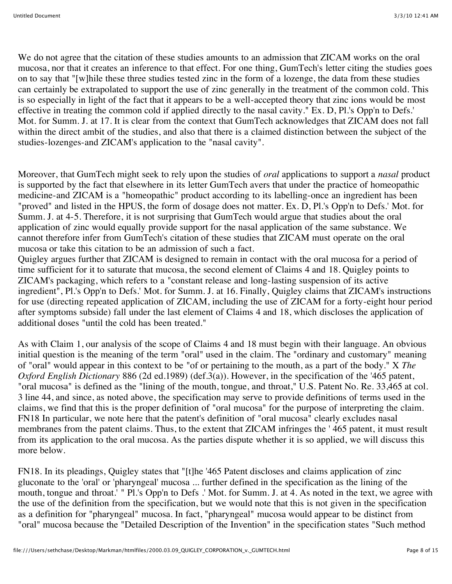We do not agree that the citation of these studies amounts to an admission that ZICAM works on the oral mucosa, nor that it creates an inference to that effect. For one thing, GumTech's letter citing the studies goes on to say that "[w]hile these three studies tested zinc in the form of a lozenge, the data from these studies can certainly be extrapolated to support the use of zinc generally in the treatment of the common cold. This is so especially in light of the fact that it appears to be a well-accepted theory that zinc ions would be most effective in treating the common cold if applied directly to the nasal cavity." Ex. D, Pl.'s Opp'n to Defs.' Mot. for Summ. J. at 17. It is clear from the context that GumTech acknowledges that ZICAM does not fall within the direct ambit of the studies, and also that there is a claimed distinction between the subject of the studies-lozenges-and ZICAM's application to the "nasal cavity".

Moreover, that GumTech might seek to rely upon the studies of *oral* applications to support a *nasal* product is supported by the fact that elsewhere in its letter GumTech avers that under the practice of homeopathic medicine-and ZICAM is a "homeopathic" product according to its labelling-once an ingredient has been "proved" and listed in the HPUS, the form of dosage does not matter. Ex. D, Pl.'s Opp'n to Defs.' Mot. for Summ. J. at 4-5. Therefore, it is not surprising that GumTech would argue that studies about the oral application of zinc would equally provide support for the nasal application of the same substance. We cannot therefore infer from GumTech's citation of these studies that ZICAM must operate on the oral mucosa or take this citation to be an admission of such a fact.

Quigley argues further that ZICAM is designed to remain in contact with the oral mucosa for a period of time sufficient for it to saturate that mucosa, the second element of Claims 4 and 18. Quigley points to ZICAM's packaging, which refers to a "constant release and long-lasting suspension of its active ingredient", Pl.'s Opp'n to Defs.' Mot. for Summ. J. at 16. Finally, Quigley claims that ZICAM's instructions for use (directing repeated application of ZICAM, including the use of ZICAM for a forty-eight hour period after symptoms subside) fall under the last element of Claims 4 and 18, which discloses the application of additional doses "until the cold has been treated."

As with Claim 1, our analysis of the scope of Claims 4 and 18 must begin with their language. An obvious initial question is the meaning of the term "oral" used in the claim. The "ordinary and customary" meaning of "oral" would appear in this context to be "of or pertaining to the mouth, as a part of the body." X *The Oxford English Dictionary* 886 (2d ed.1989) (def.3(a)). However, in the specification of the '465 patent, "oral mucosa" is defined as the "lining of the mouth, tongue, and throat," U.S. Patent No. Re. 33,465 at col. 3 line 44, and since, as noted above, the specification may serve to provide definitions of terms used in the claims, we find that this is the proper definition of "oral mucosa" for the purpose of interpreting the claim. FN18 In particular, we note here that the patent's definition of "oral mucosa" clearly excludes nasal membranes from the patent claims. Thus, to the extent that ZICAM infringes the ' 465 patent, it must result from its application to the oral mucosa. As the parties dispute whether it is so applied, we will discuss this more below.

FN18. In its pleadings, Quigley states that "[t]he '465 Patent discloses and claims application of zinc gluconate to the 'oral' or 'pharyngeal' mucosa ... further defined in the specification as the lining of the mouth, tongue and throat.' " Pl.'s Opp'n to Defs .' Mot. for Summ. J. at 4. As noted in the text, we agree with the use of the definition from the specification, but we would note that this is not given in the specification as a definition for "pharyngeal" mucosa. In fact, "pharyngeal" mucosa would appear to be distinct from "oral" mucosa because the "Detailed Description of the Invention" in the specification states "Such method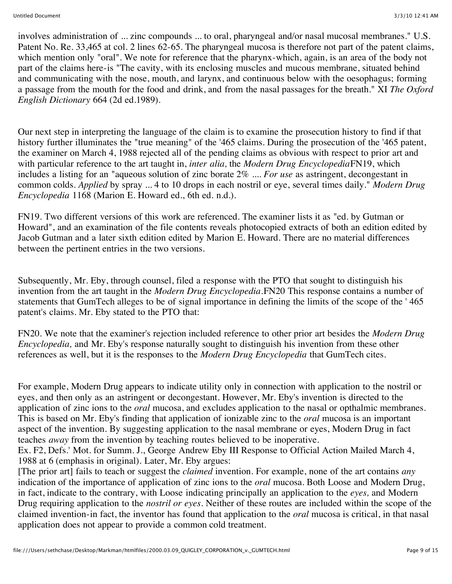involves administration of ... zinc compounds ... to oral, pharyngeal and/or nasal mucosal membranes." U.S. Patent No. Re. 33,465 at col. 2 lines 62-65. The pharyngeal mucosa is therefore not part of the patent claims, which mention only "oral". We note for reference that the pharynx-which, again, is an area of the body not part of the claims here-is "The cavity, with its enclosing muscles and mucous membrane, situated behind and communicating with the nose, mouth, and larynx, and continuous below with the oesophagus; forming a passage from the mouth for the food and drink, and from the nasal passages for the breath." XI *The Oxford English Dictionary* 664 (2d ed.1989).

Our next step in interpreting the language of the claim is to examine the prosecution history to find if that history further illuminates the "true meaning" of the '465 claims. During the prosecution of the '465 patent, the examiner on March 4, 1988 rejected all of the pending claims as obvious with respect to prior art and with particular reference to the art taught in, *inter alia,* the *Modern Drug Encyclopedia*FN19, which includes a listing for an "aqueous solution of zinc borate 2% .... *For use* as astringent, decongestant in common colds. *Applied* by spray ... 4 to 10 drops in each nostril or eye, several times daily." *Modern Drug Encyclopedia* 1168 (Marion E. Howard ed., 6th ed. n.d.).

FN19. Two different versions of this work are referenced. The examiner lists it as "ed. by Gutman or Howard", and an examination of the file contents reveals photocopied extracts of both an edition edited by Jacob Gutman and a later sixth edition edited by Marion E. Howard. There are no material differences between the pertinent entries in the two versions.

Subsequently, Mr. Eby, through counsel, filed a response with the PTO that sought to distinguish his invention from the art taught in the *Modern Drug Encyclopedia.*FN20 This response contains a number of statements that GumTech alleges to be of signal importance in defining the limits of the scope of the '465 patent's claims. Mr. Eby stated to the PTO that:

FN20. We note that the examiner's rejection included reference to other prior art besides the *Modern Drug Encyclopedia,* and Mr. Eby's response naturally sought to distinguish his invention from these other references as well, but it is the responses to the *Modern Drug Encyclopedia* that GumTech cites.

For example, Modern Drug appears to indicate utility only in connection with application to the nostril or eyes, and then only as an astringent or decongestant. However, Mr. Eby's invention is directed to the application of zinc ions to the *oral* mucosa, and excludes application to the nasal or opthalmic membranes. This is based on Mr. Eby's finding that application of ionizable zinc to the *oral* mucosa is an important aspect of the invention. By suggesting application to the nasal membrane or eyes, Modern Drug in fact teaches *away* from the invention by teaching routes believed to be inoperative.

Ex. F2, Defs.' Mot. for Summ. J., George Andrew Eby III Response to Official Action Mailed March 4, 1988 at 6 (emphasis in original). Later, Mr. Eby argues:

[The prior art] fails to teach or suggest the *claimed* invention. For example, none of the art contains *any* indication of the importance of application of zinc ions to the *oral* mucosa. Both Loose and Modern Drug, in fact, indicate to the contrary, with Loose indicating principally an application to the *eyes,* and Modern Drug requiring application to the *nostril or eyes.* Neither of these routes are included within the scope of the claimed invention-in fact, the inventor has found that application to the *oral* mucosa is critical, in that nasal application does not appear to provide a common cold treatment.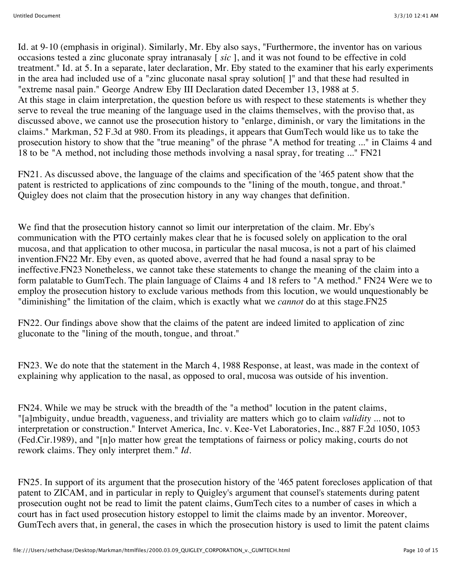Id. at 9-10 (emphasis in original). Similarly, Mr. Eby also says, "Furthermore, the inventor has on various occasions tested a zinc gluconate spray intranasaly [ *sic* ], and it was not found to be effective in cold treatment." Id. at 5. In a separate, later declaration, Mr. Eby stated to the examiner that his early experiments in the area had included use of a "zinc gluconate nasal spray solution[ ]" and that these had resulted in "extreme nasal pain." George Andrew Eby III Declaration dated December 13, 1988 at 5. At this stage in claim interpretation, the question before us with respect to these statements is whether they serve to reveal the true meaning of the language used in the claims themselves, with the proviso that, as discussed above, we cannot use the prosecution history to "enlarge, diminish, or vary the limitations in the claims." Markman, 52 F.3d at 980. From its pleadings, it appears that GumTech would like us to take the prosecution history to show that the "true meaning" of the phrase "A method for treating ..." in Claims 4 and 18 to be "A method, not including those methods involving a nasal spray, for treating ..." FN21

FN21. As discussed above, the language of the claims and specification of the '465 patent show that the patent is restricted to applications of zinc compounds to the "lining of the mouth, tongue, and throat." Quigley does not claim that the prosecution history in any way changes that definition.

We find that the prosecution history cannot so limit our interpretation of the claim. Mr. Eby's communication with the PTO certainly makes clear that he is focused solely on application to the oral mucosa, and that application to other mucosa, in particular the nasal mucosa, is not a part of his claimed invention.FN22 Mr. Eby even, as quoted above, averred that he had found a nasal spray to be ineffective.FN23 Nonetheless, we cannot take these statements to change the meaning of the claim into a form palatable to GumTech. The plain language of Claims 4 and 18 refers to "A method." FN24 Were we to employ the prosecution history to exclude various methods from this locution, we would unquestionably be "diminishing" the limitation of the claim, which is exactly what we *cannot* do at this stage.FN25

FN22. Our findings above show that the claims of the patent are indeed limited to application of zinc gluconate to the "lining of the mouth, tongue, and throat."

FN23. We do note that the statement in the March 4, 1988 Response, at least, was made in the context of explaining why application to the nasal, as opposed to oral, mucosa was outside of his invention.

FN24. While we may be struck with the breadth of the "a method" locution in the patent claims, "[a]mbiguity, undue breadth, vagueness, and triviality are matters which go to claim *validity* ... not to interpretation or construction." Intervet America, Inc. v. Kee-Vet Laboratories, Inc., 887 F.2d 1050, 1053 (Fed.Cir.1989), and "[n]o matter how great the temptations of fairness or policy making, courts do not rework claims. They only interpret them." *Id.*

FN25. In support of its argument that the prosecution history of the '465 patent forecloses application of that patent to ZICAM, and in particular in reply to Quigley's argument that counsel's statements during patent prosecution ought not be read to limit the patent claims, GumTech cites to a number of cases in which a court has in fact used prosecution history estoppel to limit the claims made by an inventor. Moreover, GumTech avers that, in general, the cases in which the prosecution history is used to limit the patent claims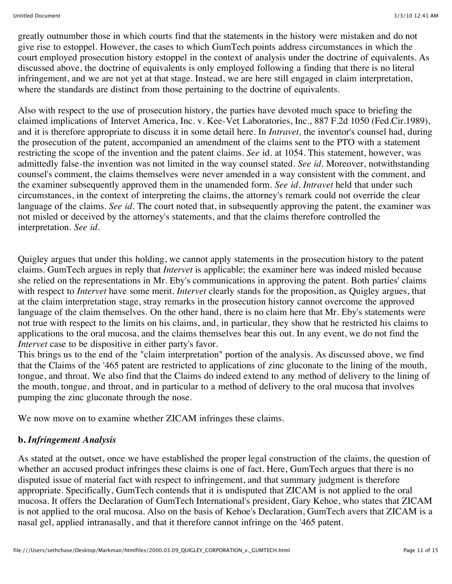greatly outnumber those in which courts find that the statements in the history were mistaken and do not give rise to estoppel. However, the cases to which GumTech points address circumstances in which the court employed prosecution history estoppel in the context of analysis under the doctrine of equivalents. As discussed above, the doctrine of equivalents is only employed following a finding that there is no literal infringement, and we are not yet at that stage. Instead, we are here still engaged in claim interpretation, where the standards are distinct from those pertaining to the doctrine of equivalents.

Also with respect to the use of prosecution history, the parties have devoted much space to briefing the claimed implications of Intervet America, Inc. v. Kee-Vet Laboratories, Inc., 887 F.2d 1050 (Fed.Cir.1989), and it is therefore appropriate to discuss it in some detail here. In *Intravet,* the inventor's counsel had, during the prosecution of the patent, accompanied an amendment of the claims sent to the PTO with a statement restricting the scope of the invention and the patent claims. *See* id. at 1054. This statement, however, was admittedly false-the invention was not limited in the way counsel stated. *See id.* Moreover, notwithstanding counsel's comment, the claims themselves were never amended in a way consistent with the comment, and the examiner subsequently approved them in the unamended form. *See id. Intravet* held that under such circumstances, in the context of interpreting the claims, the attorney's remark could not override the clear language of the claims. *See id*. The court noted that, in subsequently approving the patent, the examiner was not misled or deceived by the attorney's statements, and that the claims therefore controlled the interpretation. *See id.*

Quigley argues that under this holding, we cannot apply statements in the prosecution history to the patent claims. GumTech argues in reply that *Intervet* is applicable; the examiner here was indeed misled because she relied on the representations in Mr. Eby's communications in approving the patent. Both parties' claims with respect to *Intervet* have some merit. *Intervet* clearly stands for the proposition, as Quigley argues, that at the claim interpretation stage, stray remarks in the prosecution history cannot overcome the approved language of the claim themselves. On the other hand, there is no claim here that Mr. Eby's statements were not true with respect to the limits on his claims, and, in particular, they show that he restricted his claims to applications to the oral mucosa, and the claims themselves bear this out. In any event, we do not find the *Intervet* case to be dispositive in either party's favor.

This brings us to the end of the "claim interpretation" portion of the analysis. As discussed above, we find that the Claims of the '465 patent are restricted to applications of zinc gluconate to the lining of the mouth, tongue, and throat. We also find that the Claims do indeed extend to any method of delivery to the lining of the mouth, tongue, and throat, and in particular to a method of delivery to the oral mucosa that involves pumping the zinc gluconate through the nose.

We now move on to examine whether ZICAM infringes these claims.

## **b.** *Infringement Analysis*

As stated at the outset, once we have established the proper legal construction of the claims, the question of whether an accused product infringes these claims is one of fact. Here, GumTech argues that there is no disputed issue of material fact with respect to infringement, and that summary judgment is therefore appropriate. Specifically, GumTech contends that it is undisputed that ZICAM is not applied to the oral mucosa. It offers the Declaration of GumTech International's president, Gary Kehoe, who states that ZICAM is not applied to the oral mucosa. Also on the basis of Kehoe's Declaration, GumTech avers that ZICAM is a nasal gel, applied intranasally, and that it therefore cannot infringe on the '465 patent.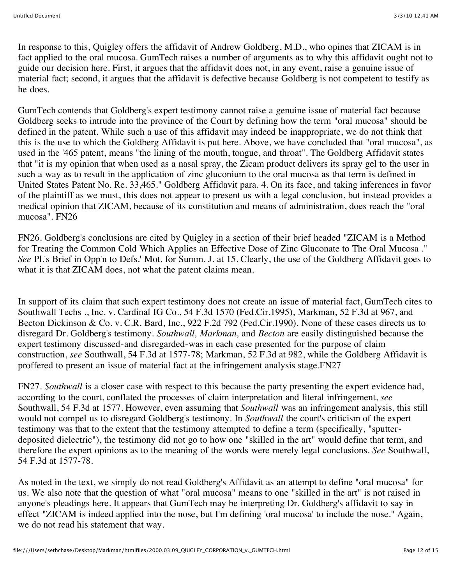In response to this, Quigley offers the affidavit of Andrew Goldberg, M.D., who opines that ZICAM is in fact applied to the oral mucosa. GumTech raises a number of arguments as to why this affidavit ought not to guide our decision here. First, it argues that the affidavit does not, in any event, raise a genuine issue of material fact; second, it argues that the affidavit is defective because Goldberg is not competent to testify as he does.

GumTech contends that Goldberg's expert testimony cannot raise a genuine issue of material fact because Goldberg seeks to intrude into the province of the Court by defining how the term "oral mucosa" should be defined in the patent. While such a use of this affidavit may indeed be inappropriate, we do not think that this is the use to which the Goldberg Affidavit is put here. Above, we have concluded that "oral mucosa", as used in the '465 patent, means "the lining of the mouth, tongue, and throat". The Goldberg Affidavit states that "it is my opinion that when used as a nasal spray, the Zicam product delivers its spray gel to the user in such a way as to result in the application of zinc gluconium to the oral mucosa as that term is defined in United States Patent No. Re. 33,465." Goldberg Affidavit para. 4. On its face, and taking inferences in favor of the plaintiff as we must, this does not appear to present us with a legal conclusion, but instead provides a medical opinion that ZICAM, because of its constitution and means of administration, does reach the "oral mucosa". FN26

FN26. Goldberg's conclusions are cited by Quigley in a section of their brief headed "ZICAM is a Method for Treating the Common Cold Which Applies an Effective Dose of Zinc Gluconate to The Oral Mucosa ." *See* Pl.'s Brief in Opp'n to Defs.' Mot. for Summ. J. at 15. Clearly, the use of the Goldberg Affidavit goes to what it is that ZICAM does, not what the patent claims mean.

In support of its claim that such expert testimony does not create an issue of material fact, GumTech cites to Southwall Techs ., Inc. v. Cardinal IG Co., 54 F.3d 1570 (Fed.Cir.1995), Markman, 52 F.3d at 967, and Becton Dickinson & Co. v. C.R. Bard, Inc., 922 F.2d 792 (Fed.Cir.1990). None of these cases directs us to disregard Dr. Goldberg's testimony. *Southwall, Markman,* and *Becton* are easily distinguished because the expert testimony discussed-and disregarded-was in each case presented for the purpose of claim construction, *see* Southwall, 54 F.3d at 1577-78; Markman, 52 F.3d at 982, while the Goldberg Affidavit is proffered to present an issue of material fact at the infringement analysis stage.FN27

FN27. *Southwall* is a closer case with respect to this because the party presenting the expert evidence had, according to the court, conflated the processes of claim interpretation and literal infringement, *see* Southwall, 54 F.3d at 1577. However, even assuming that *Southwall* was an infringement analysis, this still would not compel us to disregard Goldberg's testimony. In *Southwall* the court's criticism of the expert testimony was that to the extent that the testimony attempted to define a term (specifically, "sputterdeposited dielectric"), the testimony did not go to how one "skilled in the art" would define that term, and therefore the expert opinions as to the meaning of the words were merely legal conclusions. *See* Southwall, 54 F.3d at 1577-78.

As noted in the text, we simply do not read Goldberg's Affidavit as an attempt to define "oral mucosa" for us. We also note that the question of what "oral mucosa" means to one "skilled in the art" is not raised in anyone's pleadings here. It appears that GumTech may be interpreting Dr. Goldberg's affidavit to say in effect "ZICAM is indeed applied into the nose, but I'm defining 'oral mucosa' to include the nose." Again, we do not read his statement that way.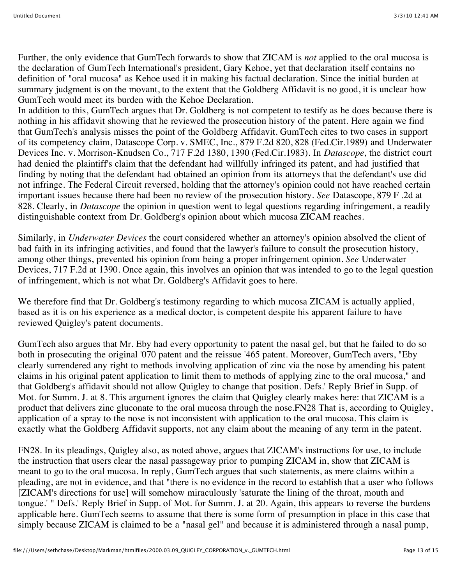Further, the only evidence that GumTech forwards to show that ZICAM is *not* applied to the oral mucosa is the declaration of GumTech International's president, Gary Kehoe, yet that declaration itself contains no definition of "oral mucosa" as Kehoe used it in making his factual declaration. Since the initial burden at summary judgment is on the movant, to the extent that the Goldberg Affidavit is no good, it is unclear how GumTech would meet its burden with the Kehoe Declaration.

In addition to this, GumTech argues that Dr. Goldberg is not competent to testify as he does because there is nothing in his affidavit showing that he reviewed the prosecution history of the patent. Here again we find that GumTech's analysis misses the point of the Goldberg Affidavit. GumTech cites to two cases in support of its competency claim, Datascope Corp. v. SMEC, Inc., 879 F.2d 820, 828 (Fed.Cir.1989) and Underwater Devices Inc. v. Morrison-Knudsen Co., 717 F.2d 1380, 1390 (Fed.Cir.1983). In *Datascope,* the district court had denied the plaintiff's claim that the defendant had willfully infringed its patent, and had justified that finding by noting that the defendant had obtained an opinion from its attorneys that the defendant's use did not infringe. The Federal Circuit reversed, holding that the attorney's opinion could not have reached certain important issues because there had been no review of the prosecution history. *See* Datascope, 879 F .2d at 828. Clearly, in *Datascope* the opinion in question went to legal questions regarding infringement, a readily distinguishable context from Dr. Goldberg's opinion about which mucosa ZICAM reaches.

Similarly, in *Underwater Devices* the court considered whether an attorney's opinion absolved the client of bad faith in its infringing activities, and found that the lawyer's failure to consult the prosecution history, among other things, prevented his opinion from being a proper infringement opinion. *See* Underwater Devices, 717 F.2d at 1390. Once again, this involves an opinion that was intended to go to the legal question of infringement, which is not what Dr. Goldberg's Affidavit goes to here.

We therefore find that Dr. Goldberg's testimony regarding to which mucosa ZICAM is actually applied, based as it is on his experience as a medical doctor, is competent despite his apparent failure to have reviewed Quigley's patent documents.

GumTech also argues that Mr. Eby had every opportunity to patent the nasal gel, but that he failed to do so both in prosecuting the original '070 patent and the reissue '465 patent. Moreover, GumTech avers, "Eby clearly surrendered any right to methods involving application of zinc via the nose by amending his patent claims in his original patent application to limit them to methods of applying zinc to the oral mucosa," and that Goldberg's affidavit should not allow Quigley to change that position. Defs.' Reply Brief in Supp. of Mot. for Summ. J. at 8. This argument ignores the claim that Quigley clearly makes here: that ZICAM is a product that delivers zinc gluconate to the oral mucosa through the nose.FN28 That is, according to Quigley, application of a spray to the nose is not inconsistent with application to the oral mucosa. This claim is exactly what the Goldberg Affidavit supports, not any claim about the meaning of any term in the patent.

FN28. In its pleadings, Quigley also, as noted above, argues that ZICAM's instructions for use, to include the instruction that users clear the nasal passageway prior to pumping ZICAM in, show that ZICAM is meant to go to the oral mucosa. In reply, GumTech argues that such statements, as mere claims within a pleading, are not in evidence, and that "there is no evidence in the record to establish that a user who follows [ZICAM's directions for use] will somehow miraculously 'saturate the lining of the throat, mouth and tongue.' " Defs.' Reply Brief in Supp. of Mot. for Summ. J. at 20. Again, this appears to reverse the burdens applicable here. GumTech seems to assume that there is some form of presumption in place in this case that simply because ZICAM is claimed to be a "nasal gel" and because it is administered through a nasal pump,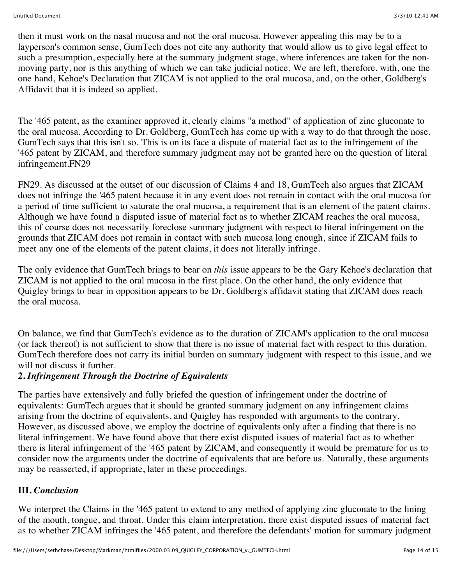then it must work on the nasal mucosa and not the oral mucosa. However appealing this may be to a layperson's common sense, GumTech does not cite any authority that would allow us to give legal effect to such a presumption, especially here at the summary judgment stage, where inferences are taken for the nonmoving party, nor is this anything of which we can take judicial notice. We are left, therefore, with, one the one hand, Kehoe's Declaration that ZICAM is not applied to the oral mucosa, and, on the other, Goldberg's Affidavit that it is indeed so applied.

The '465 patent, as the examiner approved it, clearly claims "a method" of application of zinc gluconate to the oral mucosa. According to Dr. Goldberg, GumTech has come up with a way to do that through the nose. GumTech says that this isn't so. This is on its face a dispute of material fact as to the infringement of the '465 patent by ZICAM, and therefore summary judgment may not be granted here on the question of literal infringement.FN29

FN29. As discussed at the outset of our discussion of Claims 4 and 18, GumTech also argues that ZICAM does not infringe the '465 patent because it in any event does not remain in contact with the oral mucosa for a period of time sufficient to saturate the oral mucosa, a requirement that is an element of the patent claims. Although we have found a disputed issue of material fact as to whether ZICAM reaches the oral mucosa, this of course does not necessarily foreclose summary judgment with respect to literal infringement on the grounds that ZICAM does not remain in contact with such mucosa long enough, since if ZICAM fails to meet any one of the elements of the patent claims, it does not literally infringe.

The only evidence that GumTech brings to bear on *this* issue appears to be the Gary Kehoe's declaration that ZICAM is not applied to the oral mucosa in the first place. On the other hand, the only evidence that Quigley brings to bear in opposition appears to be Dr. Goldberg's affidavit stating that ZICAM does reach the oral mucosa.

On balance, we find that GumTech's evidence as to the duration of ZICAM's application to the oral mucosa (or lack thereof) is not sufficient to show that there is no issue of material fact with respect to this duration. GumTech therefore does not carry its initial burden on summary judgment with respect to this issue, and we will not discuss it further.

# **2.** *Infringement Through the Doctrine of Equivalents*

The parties have extensively and fully briefed the question of infringement under the doctrine of equivalents: GumTech argues that it should be granted summary judgment on any infringement claims arising from the doctrine of equivalents, and Quigley has responded with arguments to the contrary. However, as discussed above, we employ the doctrine of equivalents only after a finding that there is no literal infringement. We have found above that there exist disputed issues of material fact as to whether there is literal infringement of the '465 patent by ZICAM, and consequently it would be premature for us to consider now the arguments under the doctrine of equivalents that are before us. Naturally, these arguments may be reasserted, if appropriate, later in these proceedings.

#### **III.** *Conclusion*

We interpret the Claims in the '465 patent to extend to any method of applying zinc gluconate to the lining of the mouth, tongue, and throat. Under this claim interpretation, there exist disputed issues of material fact as to whether ZICAM infringes the '465 patent, and therefore the defendants' motion for summary judgment